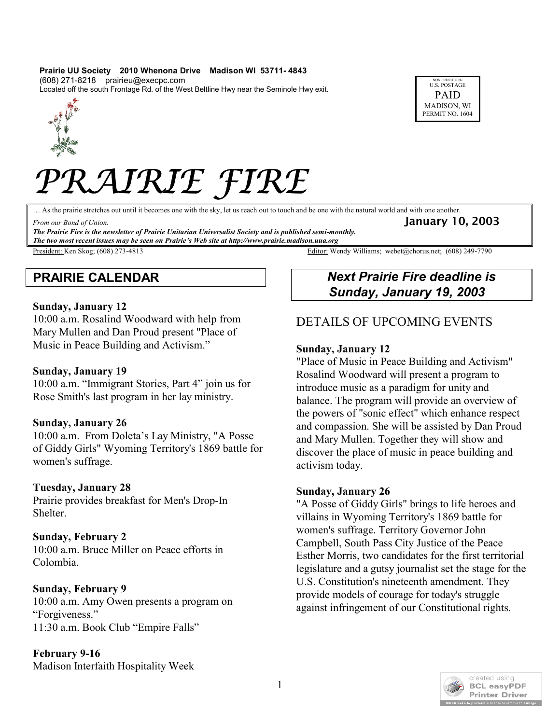#### **Prairie UU Society 2010 Whenona Drive Madison WI 53711- 4843** (608) 271-8218 prairieu@execpc.com

Located off the south Frontage Rd. of the West Beltline Hwy near the Seminole Hwy exit.





# *PRAIRIE FIRE*

… As the prairie stretches out until it becomes one with the sky, let us reach out to touch and be one with the natural world and with one another.

From our Bond of Union. **January 10, 2003** 

*The Prairie Fire is the newsletter of Prairie Unitarian Universalist Society and is published semi-monthly. The two most recent issues may be seen on Prairie's Web site at http://www.prairie.madison.uua.org*

# **PRAIRIE CALENDAR**

#### **Sunday, January 12**

10:00 a.m. Rosalind Woodward with help from Mary Mullen and Dan Proud present "Place of Music in Peace Building and Activism."

#### **Sunday, January 19**

10:00 a.m. "Immigrant Stories, Part 4" join us for Rose Smith's last program in her lay ministry.

#### **Sunday, January 26**

10:00 a.m. From Doleta's Lay Ministry, "A Posse of Giddy Girls" Wyoming Territory's 1869 battle for women's suffrage.

#### **Tuesday, January 28**

Prairie provides breakfast for Men's Drop-In Shelter.

#### **Sunday, February 2**

10:00 a.m. Bruce Miller on Peace efforts in Colombia.

#### **Sunday, February 9**

10:00 a.m. Amy Owen presents a program on "Forgiveness." 11:30 a.m. Book Club "Empire Falls"

**February 9-16** Madison Interfaith Hospitality Week

President: Ken Skog; (608) 273-4813 Editor: Wendy Williams; webet@chorus.net; (608) 249-7790

# *Next Prairie Fire deadline is Sunday, January 19, 2003*

# DETAILS OF UPCOMING EVENTS

#### **Sunday, January 12**

"Place of Music in Peace Building and Activism" Rosalind Woodward will present a program to introduce music as a paradigm for unity and balance. The program will provide an overview of the powers of "sonic effect" which enhance respect and compassion. She will be assisted by Dan Proud and Mary Mullen. Together they will show and discover the place of music in peace building and activism today.

#### **Sunday, January 26**

"A Posse of Giddy Girls" brings to life heroes and villains in Wyoming Territory's 1869 battle for women's suffrage. Territory Governor John Campbell, South Pass City Justice of the Peace Esther Morris, two candidates for the first territorial legislature and a gutsy journalist set the stage for the U.S. Constitution's nineteenth amendment. They provide models of courage for today's struggle against infringement of our Constitutional rights.

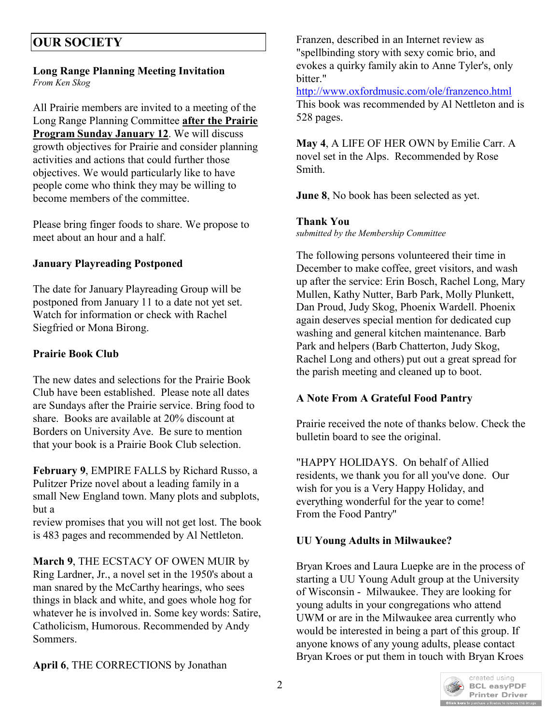#### **Long Range Planning Meeting Invitation** *From Ken Skog*

All Prairie members are invited to a meeting of the Long Range Planning Committee **after the Prairie Program Sunday January 12**. We will discuss growth objectives for Prairie and consider planning activities and actions that could further those objectives. We would particularly like to have people come who think they may be willing to become members of the committee.

Please bring finger foods to share. We propose to meet about an hour and a half.

# **January Playreading Postponed**

The date for January Playreading Group will be postponed from January 11 to a date not yet set. Watch for information or check with Rachel Siegfried or Mona Birong.

# **Prairie Book Club**

The new dates and selections for the Prairie Book Club have been established. Please note all dates are Sundays after the Prairie service. Bring food to share. Books are available at 20% discount at Borders on University Ave. Be sure to mention that your book is a Prairie Book Club selection.

**February 9**, EMPIRE FALLS by Richard Russo, a Pulitzer Prize novel about a leading family in a small New England town. Many plots and subplots, but a

review promises that you will not get lost. The book is 483 pages and recommended by Al Nettleton.

**March 9**, THE ECSTACY OF OWEN MUIR by Ring Lardner, Jr., a novel set in the 1950's about a man snared by the McCarthy hearings, who sees things in black and white, and goes whole hog for whatever he is involved in. Some key words: Satire, Catholicism, Humorous. Recommended by Andy Sommers.

**April 6**, THE CORRECTIONS by Jonathan

Franzen, described in an Internet review as "spellbinding story with sexy comic brio, and evokes a quirky family akin to Anne Tyler's, only bitter."

<http://www.oxfordmusic.com/ole/franzenco.html> This book was recommended by Al Nettleton and is 528 pages.

**May 4**, A LIFE OF HER OWN by Emilie Carr. A novel set in the Alps. Recommended by Rose Smith.

**June 8**, No book has been selected as yet.

# **Thank You**

*submitted by the Membership Committee*

The following persons volunteered their time in December to make coffee, greet visitors, and wash up after the service: Erin Bosch, Rachel Long, Mary Mullen, Kathy Nutter, Barb Park, Molly Plunkett, Dan Proud, Judy Skog, Phoenix Wardell. Phoenix again deserves special mention for dedicated cup washing and general kitchen maintenance. Barb Park and helpers (Barb Chatterton, Judy Skog, Rachel Long and others) put out a great spread for the parish meeting and cleaned up to boot.

# **A Note From A Grateful Food Pantry**

Prairie received the note of thanks below. Check the bulletin board to see the original.

"HAPPY HOLIDAYS. On behalf of Allied residents, we thank you for all you've done. Our wish for you is a Very Happy Holiday, and everything wonderful for the year to come! From the Food Pantry"

# **UU Young Adults in Milwaukee?**

Bryan Kroes and Laura Luepke are in the process of starting a UU Young Adult group at the University of Wisconsin - Milwaukee. They are looking for young adults in your congregations who attend UWM or are in the Milwaukee area currently who would be interested in being a part of this group. If anyone knows of any young adults, please contact Bryan Kroes or put them in touch with Bryan Kroes

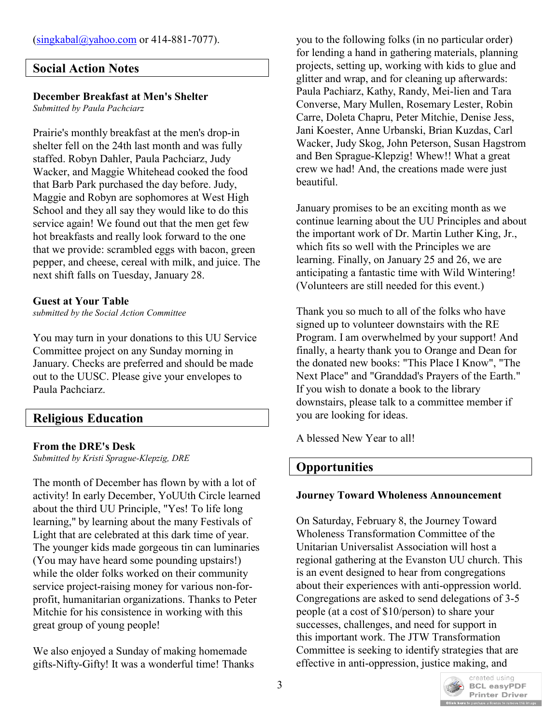## **Social Action Notes**

## **December Breakfast at Men's Shelter**

*Submitted by Paula Pachciarz*

Prairie's monthly breakfast at the men's drop-in shelter fell on the 24th last month and was fully staffed. Robyn Dahler, Paula Pachciarz, Judy Wacker, and Maggie Whitehead cooked the food that Barb Park purchased the day before. Judy, Maggie and Robyn are sophomores at West High School and they all say they would like to do this service again! We found out that the men get few hot breakfasts and really look forward to the one that we provide: scrambled eggs with bacon, green pepper, and cheese, cereal with milk, and juice. The next shift falls on Tuesday, January 28.

## **Guest at Your Table**

*submitted by the Social Action Committee* 

You may turn in your donations to this UU Service Committee project on any Sunday morning in January. Checks are preferred and should be made out to the UUSC. Please give your envelopes to Paula Pachciarz.

# **Religious Education**

## **From the DRE's Desk**

*Submitted by Kristi Sprague-Klepzig, DRE*

The month of December has flown by with a lot of activity! In early December, YoUUth Circle learned about the third UU Principle, "Yes! To life long learning," by learning about the many Festivals of Light that are celebrated at this dark time of year. The younger kids made gorgeous tin can luminaries (You may have heard some pounding upstairs!) while the older folks worked on their community service project-raising money for various non-forprofit, humanitarian organizations. Thanks to Peter Mitchie for his consistence in working with this great group of young people!

We also enjoyed a Sunday of making homemade gifts-Nifty-Gifty! It was a wonderful time! Thanks you to the following folks (in no particular order) for lending a hand in gathering materials, planning projects, setting up, working with kids to glue and glitter and wrap, and for cleaning up afterwards: Paula Pachiarz, Kathy, Randy, Mei-lien and Tara Converse, Mary Mullen, Rosemary Lester, Robin Carre, Doleta Chapru, Peter Mitchie, Denise Jess, Jani Koester, Anne Urbanski, Brian Kuzdas, Carl Wacker, Judy Skog, John Peterson, Susan Hagstrom and Ben Sprague-Klepzig! Whew!! What a great crew we had! And, the creations made were just beautiful.

January promises to be an exciting month as we continue learning about the UU Principles and about the important work of Dr. Martin Luther King, Jr., which fits so well with the Principles we are learning. Finally, on January 25 and 26, we are anticipating a fantastic time with Wild Wintering! (Volunteers are still needed for this event.)

Thank you so much to all of the folks who have signed up to volunteer downstairs with the RE Program. I am overwhelmed by your support! And finally, a hearty thank you to Orange and Dean for the donated new books: "This Place I Know", "The Next Place" and "Granddad's Prayers of the Earth." If you wish to donate a book to the library downstairs, please talk to a committee member if you are looking for ideas.

A blessed New Year to all!

# **Opportunities**

## **Journey Toward Wholeness Announcement**

On Saturday, February 8, the Journey Toward Wholeness Transformation Committee of the Unitarian Universalist Association will host a regional gathering at the Evanston UU church. This is an event designed to hear from congregations about their experiences with anti-oppression world. Congregations are asked to send delegations of 3-5 people (at a cost of \$10/person) to share your successes, challenges, and need for support in this important work. The JTW Transformation Committee is seeking to identify strategies that are effective in anti-oppression, justice making, and